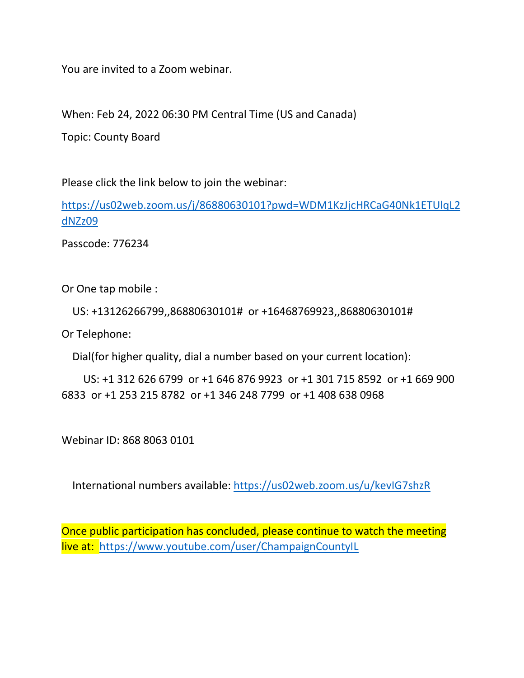You are invited to a Zoom webinar.

When: Feb 24, 2022 06:30 PM Central Time (US and Canada)

Topic: County Board

Please click the link below to join the webinar:

[https://us02web.zoom.us/j/86880630101?pwd=WDM1KzJjcHRCaG40Nk1ETUlqL2](https://us02web.zoom.us/j/86880630101?pwd=WDM1KzJjcHRCaG40Nk1ETUlqL2dNZz09) [dNZz09](https://us02web.zoom.us/j/86880630101?pwd=WDM1KzJjcHRCaG40Nk1ETUlqL2dNZz09)

Passcode: 776234

Or One tap mobile :

US: +13126266799,,86880630101# or +16468769923,,86880630101#

Or Telephone:

Dial(for higher quality, dial a number based on your current location):

 US: +1 312 626 6799 or +1 646 876 9923 or +1 301 715 8592 or +1 669 900 6833 or +1 253 215 8782 or +1 346 248 7799 or +1 408 638 0968

Webinar ID: 868 8063 0101

International numbers available:<https://us02web.zoom.us/u/kevIG7shzR>

Once public participation has concluded, please continue to watch the meeting live at: <https://www.youtube.com/user/ChampaignCountyIL>